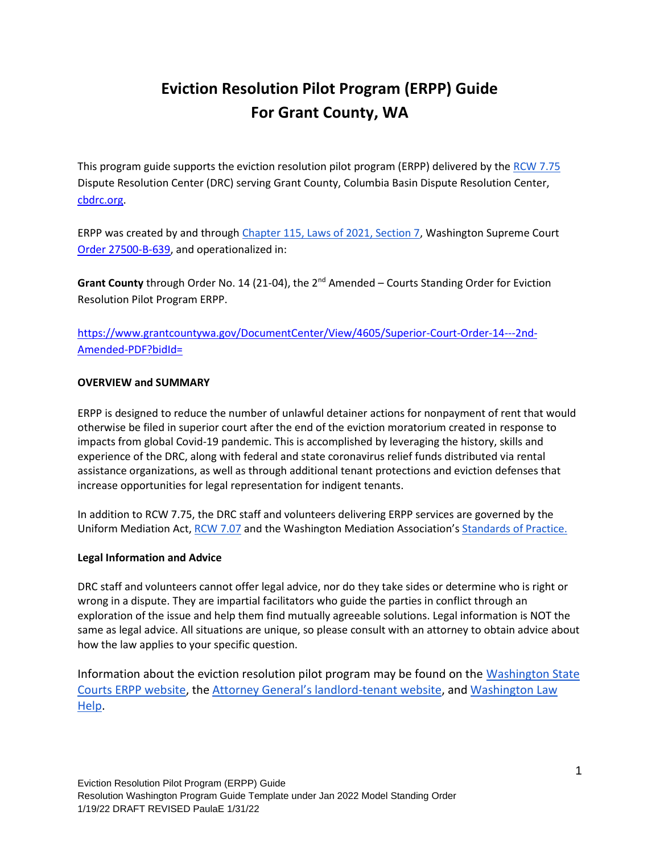# **Eviction Resolution Pilot Program (ERPP) Guide For Grant County, WA**

This program guide supports the eviction resolution pilot program (ERPP) delivered by the [RCW 7.75](https://app.leg.wa.gov/rcw/default.aspx?cite=7.75&full=true) Dispute Resolution Center (DRC) serving Grant County, Columbia Basin Dispute Resolution Center, [cbdrc.org.](https://cbdrc.org/)

ERPP was created by and throug[h Chapter 115, Laws of 2021, Section 7,](https://lawfilesext.leg.wa.gov/biennium/2021-22/Pdf/Bills/Session%20Laws/Senate/5160-S2.SL.pdf?q=20210930123212) Washington Supreme Court [Order 27500-B-639,](http://www.courts.wa.gov/content/publicUpload/Supreme%20Court%20Orders/EvictionsResolutionProgramAuthorizingOrder090920.pdf) and operationalized in:

Grant County through Order No. 14 (21-04), the 2<sup>nd</sup> Amended – Courts Standing Order for Eviction Resolution Pilot Program ERPP.

[https://www.grantcountywa.gov/DocumentCenter/View/4605/Superior-Court-Order-14---2nd-](https://www.grantcountywa.gov/DocumentCenter/View/4605/Superior-Court-Order-14---2nd-Amended-PDF?bidId=)[Amended-PDF?bidId=](https://www.grantcountywa.gov/DocumentCenter/View/4605/Superior-Court-Order-14---2nd-Amended-PDF?bidId=)

#### **OVERVIEW and SUMMARY**

ERPP is designed to reduce the number of unlawful detainer actions for nonpayment of rent that would otherwise be filed in superior court after the end of the eviction moratorium created in response to impacts from global Covid-19 pandemic. This is accomplished by leveraging the history, skills and experience of the DRC, along with federal and state coronavirus relief funds distributed via rental assistance organizations, as well as through additional tenant protections and eviction defenses that increase opportunities for legal representation for indigent tenants.

In addition to RCW 7.75, the DRC staff and volunteers delivering ERPP services are governed by the Uniform Mediation Act, [RCW 7.07](https://app.leg.wa.gov/rcw/default.aspx?cite=7.07) and the Washington Mediation Association's [Standards of Practice.](https://washingtonmediation.org/standards-of-practice/)

#### **Legal Information and Advice**

DRC staff and volunteers cannot offer legal advice, nor do they take sides or determine who is right or wrong in a dispute. They are impartial facilitators who guide the parties in conflict through an exploration of the issue and help them find mutually agreeable solutions. Legal information is NOT the same as legal advice. All situations are unique, so please consult with an attorney to obtain advice about how the law applies to your specific question.

Information about the eviction resolution pilot program may be found on the [Washington State](https://www.courts.wa.gov/newsinfo/index.cfm?fa=newsinfo.EvictionResolutionProgram)  [Courts ERPP website,](https://www.courts.wa.gov/newsinfo/index.cfm?fa=newsinfo.EvictionResolutionProgram) the [Attorney General's landlord](https://www.atg.wa.gov/landlord-tenant)-tenant website, and [Washington Law](https://www.washingtonlawhelp.org/resource/washington-state-new-2021-landlordtenant-legislation)  [Help.](https://www.washingtonlawhelp.org/resource/washington-state-new-2021-landlordtenant-legislation)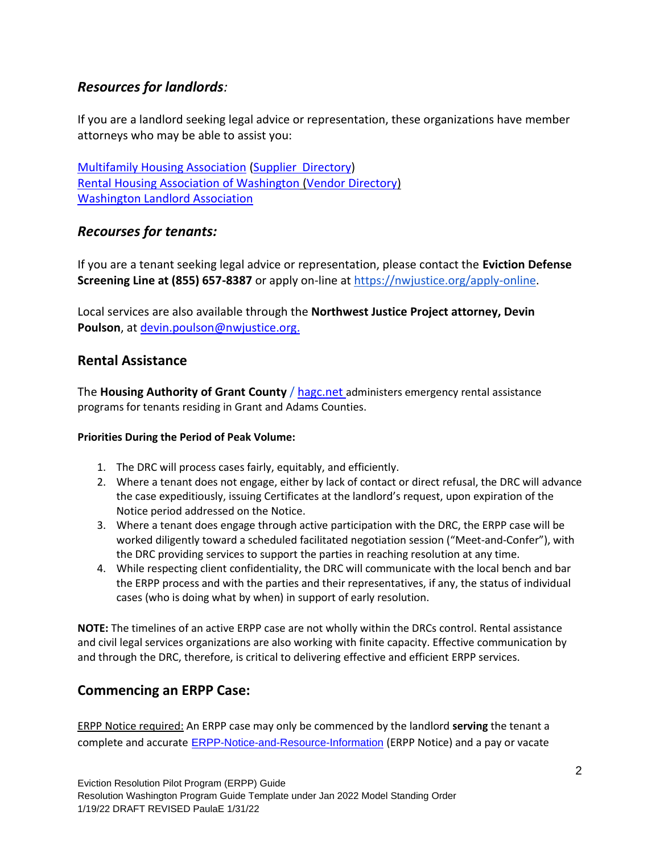### *Resources for landlords:*

If you are a landlord seeking legal advice or representation, these organizations have member attorneys who may be able to assist you:

[Multifamily Housing Association](https://www.wmfha.org/) (Supplier [Directory\)](https://www.wmfha.org/statewide-supplier-directory) [Rental Housing Association of Washington](https://www.rhawa.org/) [\(Vendor Directory\)](https://www.rhawa.org/vendor-directory/attorneys) [Washington Landlord Association](https://www.walandlord.org/)

### *Recourses for tenants:*

If you are a tenant seeking legal advice or representation, please contact the **Eviction Defense Screening Line at (855) 657-8387** or apply on-line at [https://nwjustice.org/apply-online.](https://nwjustice.org/apply-online)

Local services are also available through the **Northwest Justice Project attorney, Devin Poulson**, at [devin.poulson@nwjustice.org.](file:///C:/Users/User/Downloads/devin.poulson@nwjustice.org)

### **Rental Assistance**

The **Housing Authority of Grant County** / [hagc.net](file:///C:/Users/User/Downloads/hagc.net) administers emergency rental assistance programs for tenants residing in Grant and Adams Counties.

#### **Priorities During the Period of Peak Volume:**

- 1. The DRC will process cases fairly, equitably, and efficiently.
- 2. Where a tenant does not engage, either by lack of contact or direct refusal, the DRC will advance the case expeditiously, issuing Certificates at the landlord's request, upon expiration of the Notice period addressed on the Notice.
- 3. Where a tenant does engage through active participation with the DRC, the ERPP case will be worked diligently toward a scheduled facilitated negotiation session ("Meet-and-Confer"), with the DRC providing services to support the parties in reaching resolution at any time.
- 4. While respecting client confidentiality, the DRC will communicate with the local bench and bar the ERPP process and with the parties and their representatives, if any, the status of individual cases (who is doing what by when) in support of early resolution.

**NOTE:** The timelines of an active ERPP case are not wholly within the DRCs control. Rental assistance and civil legal services organizations are also working with finite capacity. Effective communication by and through the DRC, therefore, is critical to delivering effective and efficient ERPP services.

### **Commencing an ERPP Case:**

ERPP Notice required: An ERPP case may only be commenced by the landlord **serving** the tenant a complete and accurate [ERPP-Notice-and-Resource-Information](https://www.grantcountywa.gov/DocumentCenter/View/4990/ERPP-Notice-and-Resource-Information-PDF?bidId=) (ERPP Notice) and a pay or vacate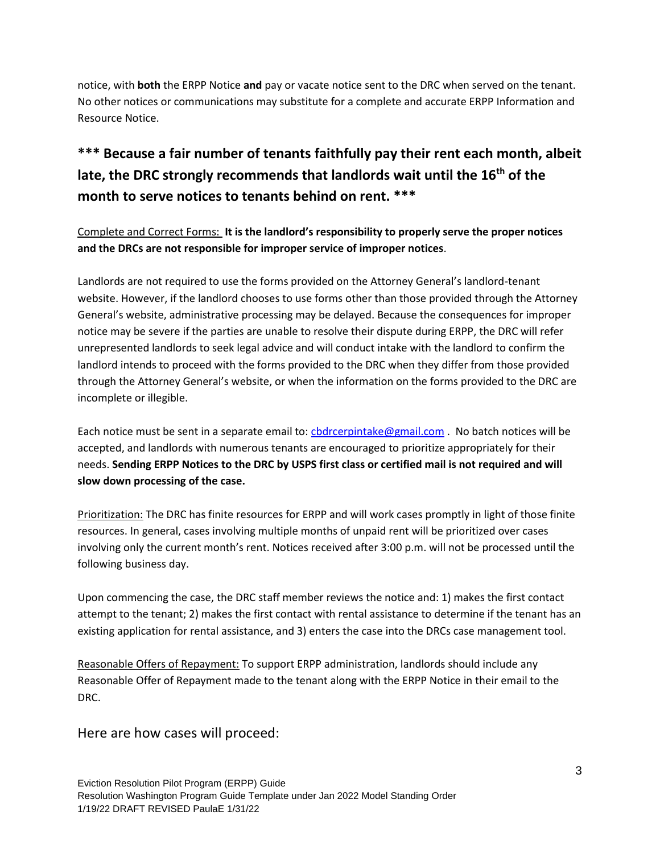notice, with **both** the ERPP Notice **and** pay or vacate notice sent to the DRC when served on the tenant. No other notices or communications may substitute for a complete and accurate ERPP Information and Resource Notice.

## **\*\*\* Because a fair number of tenants faithfully pay their rent each month, albeit late, the DRC strongly recommends that landlords wait until the 16th of the month to serve notices to tenants behind on rent. \*\*\***

Complete and Correct Forms: **It is the landlord's responsibility to properly serve the proper notices and the DRCs are not responsible for improper service of improper notices**.

Landlords are not required to use the forms provided on the Attorney General's landlord-tenant website. However, if the landlord chooses to use forms other than those provided through the Attorney General's website, administrative processing may be delayed. Because the consequences for improper notice may be severe if the parties are unable to resolve their dispute during ERPP, the DRC will refer unrepresented landlords to seek legal advice and will conduct intake with the landlord to confirm the landlord intends to proceed with the forms provided to the DRC when they differ from those provided through the Attorney General's website, or when the information on the forms provided to the DRC are incomplete or illegible.

Each notice must be sent in a separate email to: chdrcerpintake@gmail.com . No batch notices will be accepted, and landlords with numerous tenants are encouraged to prioritize appropriately for their needs. **Sending ERPP Notices to the DRC by USPS first class or certified mail is not required and will slow down processing of the case.**

Prioritization: The DRC has finite resources for ERPP and will work cases promptly in light of those finite resources. In general, cases involving multiple months of unpaid rent will be prioritized over cases involving only the current month's rent. Notices received after 3:00 p.m. will not be processed until the following business day.

Upon commencing the case, the DRC staff member reviews the notice and: 1) makes the first contact attempt to the tenant; 2) makes the first contact with rental assistance to determine if the tenant has an existing application for rental assistance, and 3) enters the case into the DRCs case management tool.

Reasonable Offers of Repayment: To support ERPP administration, landlords should include any Reasonable Offer of Repayment made to the tenant along with the ERPP Notice in their email to the DRC.

Here are how cases will proceed: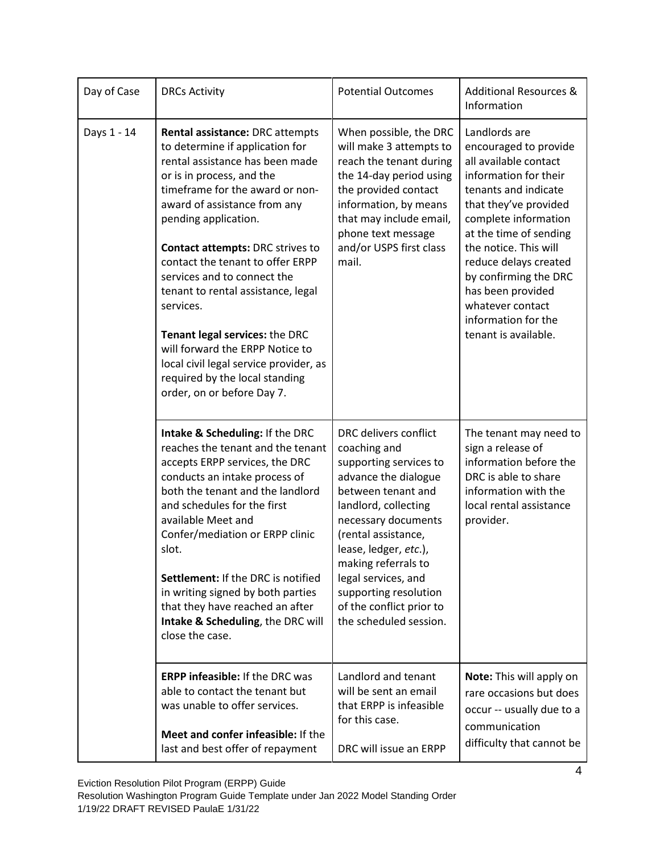| Day of Case | <b>DRCs Activity</b>                                                                                                                                                                                                                                                                                                                                                                                                                                                                                                                                                          | <b>Potential Outcomes</b>                                                                                                                                                                                                                                                                                                                 | <b>Additional Resources &amp;</b><br>Information                                                                                                                                                                                                                                                                                                               |
|-------------|-------------------------------------------------------------------------------------------------------------------------------------------------------------------------------------------------------------------------------------------------------------------------------------------------------------------------------------------------------------------------------------------------------------------------------------------------------------------------------------------------------------------------------------------------------------------------------|-------------------------------------------------------------------------------------------------------------------------------------------------------------------------------------------------------------------------------------------------------------------------------------------------------------------------------------------|----------------------------------------------------------------------------------------------------------------------------------------------------------------------------------------------------------------------------------------------------------------------------------------------------------------------------------------------------------------|
| Days 1 - 14 | Rental assistance: DRC attempts<br>to determine if application for<br>rental assistance has been made<br>or is in process, and the<br>timeframe for the award or non-<br>award of assistance from any<br>pending application.<br><b>Contact attempts: DRC strives to</b><br>contact the tenant to offer ERPP<br>services and to connect the<br>tenant to rental assistance, legal<br>services.<br>Tenant legal services: the DRC<br>will forward the ERPP Notice to<br>local civil legal service provider, as<br>required by the local standing<br>order, on or before Day 7. | When possible, the DRC<br>will make 3 attempts to<br>reach the tenant during<br>the 14-day period using<br>the provided contact<br>information, by means<br>that may include email,<br>phone text message<br>and/or USPS first class<br>mail.                                                                                             | Landlords are<br>encouraged to provide<br>all available contact<br>information for their<br>tenants and indicate<br>that they've provided<br>complete information<br>at the time of sending<br>the notice. This will<br>reduce delays created<br>by confirming the DRC<br>has been provided<br>whatever contact<br>information for the<br>tenant is available. |
|             | Intake & Scheduling: If the DRC<br>reaches the tenant and the tenant<br>accepts ERPP services, the DRC<br>conducts an intake process of<br>both the tenant and the landlord<br>and schedules for the first<br>available Meet and<br>Confer/mediation or ERPP clinic<br>slot.<br>Settlement: If the DRC is notified<br>in writing signed by both parties<br>that they have reached an after<br>Intake & Scheduling, the DRC will<br>close the case.                                                                                                                            | DRC delivers conflict<br>coaching and<br>supporting services to<br>advance the dialogue<br>between tenant and<br>landlord, collecting<br>necessary documents<br>(rental assistance,<br>lease, ledger, etc.),<br>making referrals to<br>legal services, and<br>supporting resolution<br>of the conflict prior to<br>the scheduled session. | The tenant may need to<br>sign a release of<br>information before the<br>DRC is able to share<br>information with the<br>local rental assistance<br>provider.                                                                                                                                                                                                  |
|             | <b>ERPP infeasible: If the DRC was</b><br>able to contact the tenant but<br>was unable to offer services.<br>Meet and confer infeasible: If the<br>last and best offer of repayment                                                                                                                                                                                                                                                                                                                                                                                           | Landlord and tenant<br>will be sent an email<br>that ERPP is infeasible<br>for this case.<br>DRC will issue an ERPP                                                                                                                                                                                                                       | Note: This will apply on<br>rare occasions but does<br>occur -- usually due to a<br>communication<br>difficulty that cannot be                                                                                                                                                                                                                                 |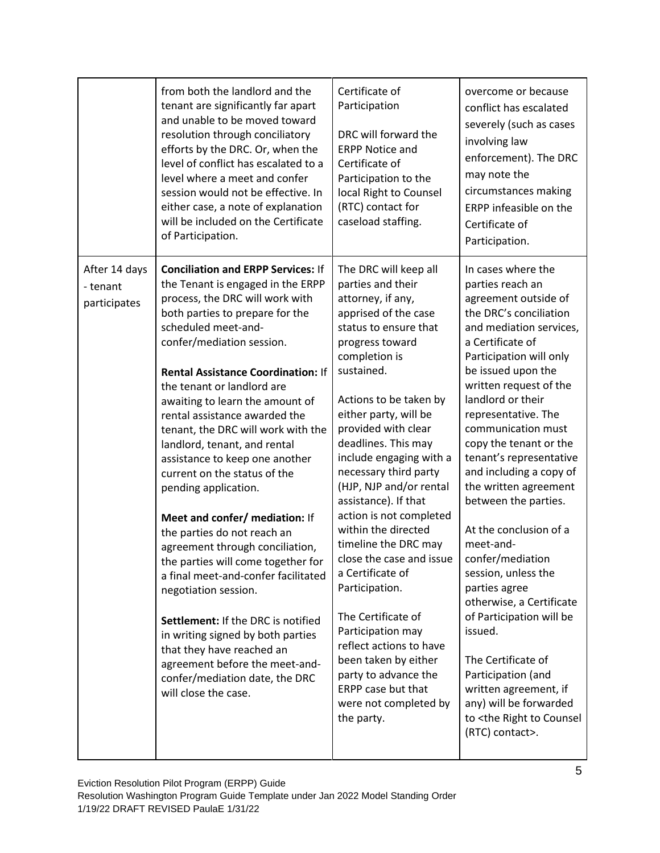|                                           | from both the landlord and the<br>tenant are significantly far apart<br>and unable to be moved toward<br>resolution through conciliatory<br>efforts by the DRC. Or, when the<br>level of conflict has escalated to a<br>level where a meet and confer<br>session would not be effective. In<br>either case, a note of explanation<br>will be included on the Certificate<br>of Participation.                                                                                                                                                                                                                                                                                                                                                                                                                                                                                                                                        | Certificate of<br>Participation<br>DRC will forward the<br><b>ERPP Notice and</b><br>Certificate of<br>Participation to the<br>local Right to Counsel<br>(RTC) contact for<br>caseload staffing.                                                                                                                                                                                                                                                                                                                                                                                                                                                                                                          | overcome or because<br>conflict has escalated<br>severely (such as cases<br>involving law<br>enforcement). The DRC<br>may note the<br>circumstances making<br>ERPP infeasible on the<br>Certificate of<br>Participation.                                                                                                                                                                                                                                                                                                                                                                                                                                                                                                                                    |
|-------------------------------------------|--------------------------------------------------------------------------------------------------------------------------------------------------------------------------------------------------------------------------------------------------------------------------------------------------------------------------------------------------------------------------------------------------------------------------------------------------------------------------------------------------------------------------------------------------------------------------------------------------------------------------------------------------------------------------------------------------------------------------------------------------------------------------------------------------------------------------------------------------------------------------------------------------------------------------------------|-----------------------------------------------------------------------------------------------------------------------------------------------------------------------------------------------------------------------------------------------------------------------------------------------------------------------------------------------------------------------------------------------------------------------------------------------------------------------------------------------------------------------------------------------------------------------------------------------------------------------------------------------------------------------------------------------------------|-------------------------------------------------------------------------------------------------------------------------------------------------------------------------------------------------------------------------------------------------------------------------------------------------------------------------------------------------------------------------------------------------------------------------------------------------------------------------------------------------------------------------------------------------------------------------------------------------------------------------------------------------------------------------------------------------------------------------------------------------------------|
| After 14 days<br>- tenant<br>participates | <b>Conciliation and ERPP Services: If</b><br>the Tenant is engaged in the ERPP<br>process, the DRC will work with<br>both parties to prepare for the<br>scheduled meet-and-<br>confer/mediation session.<br><b>Rental Assistance Coordination: If</b><br>the tenant or landlord are<br>awaiting to learn the amount of<br>rental assistance awarded the<br>tenant, the DRC will work with the<br>landlord, tenant, and rental<br>assistance to keep one another<br>current on the status of the<br>pending application.<br>Meet and confer/ mediation: If<br>the parties do not reach an<br>agreement through conciliation,<br>the parties will come together for<br>a final meet-and-confer facilitated<br>negotiation session.<br>Settlement: If the DRC is notified<br>in writing signed by both parties<br>that they have reached an<br>agreement before the meet-and-<br>confer/mediation date, the DRC<br>will close the case. | The DRC will keep all<br>parties and their<br>attorney, if any,<br>apprised of the case<br>status to ensure that<br>progress toward<br>completion is<br>sustained.<br>Actions to be taken by<br>either party, will be<br>provided with clear<br>deadlines. This may<br>include engaging with a<br>necessary third party<br>(HJP, NJP and/or rental<br>assistance). If that<br>action is not completed<br>within the directed<br>timeline the DRC may<br>close the case and issue<br>a Certificate of<br>Participation.<br>The Certificate of<br>Participation may<br>reflect actions to have<br>been taken by either<br>party to advance the<br>ERPP case but that<br>were not completed by<br>the party. | In cases where the<br>parties reach an<br>agreement outside of<br>the DRC's conciliation<br>and mediation services,<br>a Certificate of<br>Participation will only<br>be issued upon the<br>written request of the<br>landlord or their<br>representative. The<br>communication must<br>copy the tenant or the<br>tenant's representative<br>and including a copy of<br>the written agreement<br>between the parties.<br>At the conclusion of a<br>meet-and-<br>confer/mediation<br>session, unless the<br>parties agree<br>otherwise, a Certificate<br>of Participation will be<br>issued.<br>The Certificate of<br>Participation (and<br>written agreement, if<br>any) will be forwarded<br>to <the counsel<br="" right="" to="">(RTC) contact&gt;.</the> |